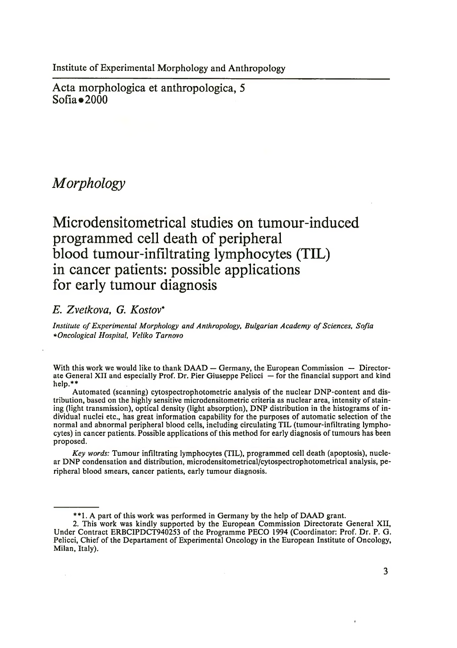Institute of Experimental Morphology and Anthropology

Acta morphologica et anthropologica, 5  $Sofia \bullet 2000$ 

## *Morphology*

# **Microdensitometrical studies on tumour-induced programmed cell death of peripheral blood tumour-infiltrating lymphocytes (TIL) in cancer patients: possible applications for early tumour diagnosis**

### *E. Zvetkova, G. Rostov\**

*Institute of Experimental Morphology and Anthropology, Bulgarian Academy of Sciences, Sofia \*Oncological Hospital, Veliko Tarnovo*

With this work we would like to thank DAAD - Germany, the European Commission - Directorate General XII and especially Prof. Dr. Pier Giuseppe Pelicci — for the financial support and kind help.\*\*

Automated (scanning) cytospectrophotometric analysis of the nuclear DNP-content and distribution, based on the highly sensitive microdensitometric criteria as nuclear area, intensity of staining (light transmission), optical density (light absorption), DNP distribution in the histograms of individual nuclei etc., has great information capability for the purposes of automatic selection of the normal and abnormal peripheral blood cells, including circulating TIL (tumour-infiltrating lymphocytes) in cancer patients. Possible applications of this method for early diagnosis of tumours has been proposed.

*Key words:* Tumour infiltrating lymphocytes (TIL), programmed cell death (apoptosis), nuclear DNP condensation and distribution, microdensitometrical/cytospectrophotometrical analysis, peripheral blood smears, cancer patients, early tumour diagnosis.

<sup>\*\*1.</sup> A part of this work was performed in Germany by the help of DAAD grant.

<sup>2.</sup> This work was kindly supported by the European Commission Directorate General XII, Under Contract ERBCIPDCT940253 of the Programme PECO 1994 (Coordinator: Prof. Dr. P. G. Pelicci, Chief of the Departament of Experimental Oncology in the European Institute of Oncology, Milan, Italy).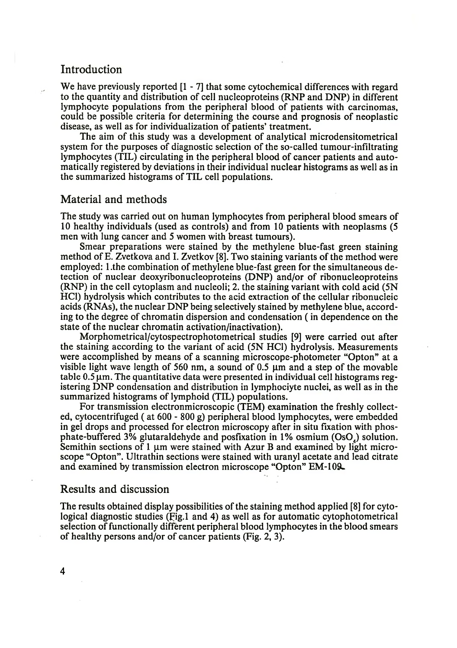### Introduction

We have previously reported [1 - 7] that some cytochemical differences with regard to the quantity and distribution of cell nucleoproteins (RNP and DNP) in different lymphocyte populations from the peripheral blood of patients with carcinomas, could be possible criteria for determining the course and prognosis of neoplastic disease, as well as for individualization of patients' treatment.

The aim of this study was a development of analytical microdensitometrical system for the purposes of diagnostic selection of the so-called tumour-infiltrating lymphocytes (TIL) circulating in the peripheral blood of cancer patients and automatically registered by deviations in their individual nuclear histograms as well as in the summarized histograms of TIL cell populations.

#### Material and methods

The study was carried out on human lymphocytes from peripheral blood smears of 10 healthy individuals (used as controls) and from 10 patients with neoplasms (5 men with lung cancer and 5 women with breast tumours).

Smear preparations were stained by the methylene blue-fast green staining method of E. Zvetkova and I. Zvetkov [8]. Two staining variants of the method were employed: l.the combination of methylene blue-fast green for the simultaneous detection of nuclear deoxyribonucleoproteins (DNP) and/or of ribonucleoproteins (RNP) in the cell cytoplasm and nucleoli; 2. the staining variant with cold acid (5N HC1) hydrolysis which contributes to the acid extraction of the cellular ribonucleic acids (RNAs), the nuclear DNP being selectively stained by methylene blue, according to the degree of chromatin dispersion and condensation ( in dependence on the state of the nuclear chromatin activation/inactivation).

Morphometrical/cytospectrophotometrical studies [9] were carried out after the staining according to the variant of acid (5N HC1) hydrolysis. Measurements were accomplished by means of a scanning microscope-photometer "Opton" at a visible light wave length of 560 nm, a sound of 0.5  $\mu$ m and a step of the movable table  $0.5 \mu$ m. The quantitative data were presented in individual cell histograms registering DNP condensation and distribution in lymphociyte nuclei, as well as in the summarized histograms of lymphoid (TIL) populations.

For transmission electronmicroscopic (TEM) examination the freshly collected, cytocentrifuged ( at 600 - 800 g) peripheral blood lymphocytes, were embedded in gel drops and processed for electron microscopy after in situ fixation with phosphate-buffered 3% glutaraldehyde and posfixation in 1% osmium (Os04) solution. Semithin sections of 1  $\mu$ m were stained with Azur B and examined by light microscope "Opton". Ultrathin sections were stained with uranyl acetate and lead citrate and examined by transmission electron microscope "Opton" EM-109.

#### Results and discussion

The results obtained display possibilities of the staining method applied [8] for cytological diagnostic studies (Fig.1 and 4) as well as for automatic cytophotometrical selection of functionally different peripheral blood lymphocytes in the blood smears of healthy persons and/or of cancer patients (Fig. 2, 3).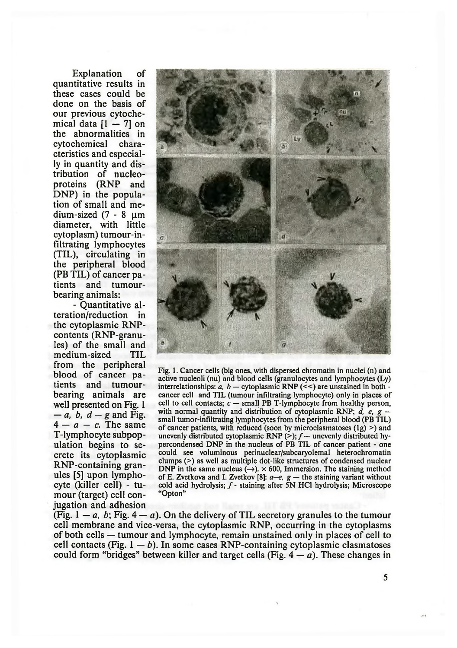Explanation of quantitative results in these cases could be done on the basis of our previous cytochemical data  $[1 - 7]$  on the abnormalities in cytochemical cteristics and especially in quantity and distribution of nucleoproteins (RNP and DNP) in the population of small and medium-sized  $(7 - 8 \mu m)$ diameter, with little cytoplasm) tumour-infiltrating lymphocytes (TIL), circulating in the peripheral blood (PB TIL) of cancer patients and tumourbearing animals:

- Quantitative alteration/reduction in the cytoplasmic RNPcontents (RNP-granules) of the small and medium-sized TIL from the peripheral blood of cancer patients and tumourbearing animals are well presented on Fig. 1 *— a, b, d — g* and Fig.  $4 - a - c$ . The same T-lymphocyte subpopulation begins to secrete its cytoplasmic RNP-containing granules [5] upon lymphocyte (killer cell) - tumour (target) cell conjugation and adhesion



Fig. 1. Cancer cells (big ones, with dispersed chromatin in nuclei (n) and active nucleoli (nu) and blood cells (granulocytes and lymphocytes (Ly) interrelationships:  $a, b -$  cytoplasmic RNP ( $\lt\lt$ ) are unstained in both cancer cell and TIL (tumour infiltrating lymphocyte) only in places of cell to cell contacts;  $c$  — small PB T-lymphocyte from healthy person, with normal quantity and distribution of cytoplasmic RNP; *d, e, g*  small tumor-infiltrating lymphocytes from the peripheral blood (PB TIL) of cancer patients, with reduced (soon by microclasmatoses  $(1g)$  >) and unevenly distributed cytoplasmic RNP (>);  $f-$  unevenly distributed hypercondensed DNP in the nucleus of PB TIL of cancer patient - one could see voluminous perinuclear/subcaryolemal heterochromatin clumps (>) as well as multiple dot-like structures of condensed nuclear DNP in the same nucleus  $(\rightarrow)$ .  $\times$  600, Immersion. The staining method of E. Zvetkova and I. Zvetkov [8]: *a—e, g* — the staining variant without cold acid hydrolysis;  $f$  - staining after 5N HCl hydrolysis; Microscope "Opton"

(Fig.  $1 - a$ , b; Fig.  $4 - a$ ). On the delivery of TIL secretory granules to the tumour cell membrane and vice-versa, the cytoplasmic RNP, occurring in the cytoplasms of both cells — tumour and lymphocyte, remain unstained only in places of cell to cell contacts (Fig.  $1 - b$ ). In some cases RNP-containing cytoplasmic clasmatoses could form "bridges" between killer and target cells (Fig.  $4 - a$ ). These changes in

5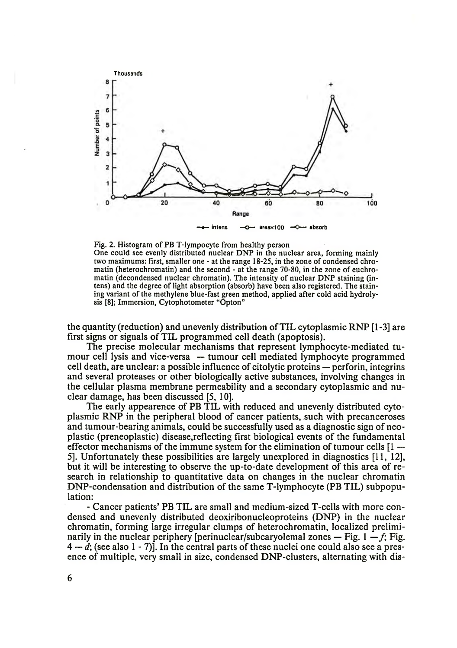

Fig. 2. Histogram of PB T-lympocyte from healthy person One could see evenly distributed nuclear DNP in the nuclear area, forming mainly two maximums: first, smaller one - at the range 18-25, in the zone of condensed chromatin (heterochromatin) and the second - at the range 70-80, in the zone of euchromatin (decondensed nuclear chromatin). The intensity of nuclear DNP staining (intens) and the degree of light absorption (absorb) have been also registered. The staining variant of the methylene blue-fast green method, applied after cold acid hydrolysis [8]; Immersion, Cytophotometer "Opton"

the quantity (reduction) and unevenly distribution of TIL cytoplasmic RNP [1-3] are first signs or signals of TIL programmed cell death (apoptosis).

The precise molecular mechanisms that represent lymphocyte-mediated tumour cell lysis and vice-versa — tumour cell mediated lymphocyte programmed cell death, are unclear: a possible influence of citolytic proteins — perforin, integrins and several proteases or other biologically active substances, involving changes in the cellular plasma membrane permeability and a secondary cytoplasmic and nuclear damage, has been discussed [5, 10].

The early appearence of PB TIL with reduced and unevenly distributed cytoplasmic RNP in the peripheral blood of cancer patients, such with precanceroses and tumour-bearing animals, could be successfully used as a diagnostic sign of neoplastic (preneoplastic) disease,reflecting first biological events of the fundamental effector mechanisms of the immune system for the elimination of tumour cells [1 — 5]. Unfortunately these possibilities are largely unexplored in diagnostics [11, 12], but it will be interesting to observe the up-to-date development of this area of research in relationship to quantitative data on changes in the nuclear chromatin DNP-condensation and distribution of the same T-lymphocyte (PB TIL) subpopulation:

- Cancer patients' PB TIL are small and medium-sized T-cells with more condensed and unevenly distributed deoxiribonucleoproteins (DNP) in the nuclear chromatin, forming large irregular clumps of heterochromatin, localized preliminarily in the nuclear periphery [perinuclear/subcaryolemal zones  $-$  Fig. 1  $-f$ ; Fig.  $4 - d$ ; (see also 1 - 7)]. In the central parts of these nuclei one could also see a presence of multiple, very small in size, condensed DNP-clusters, alternating with dis-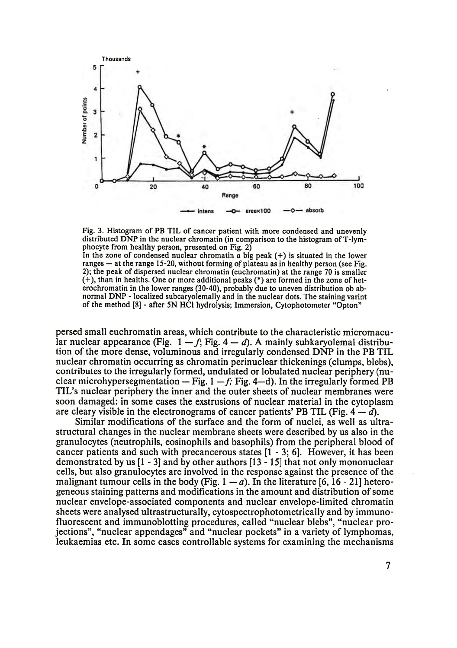

Fig. 3. Histogram of PB TIL of cancer patient with more condensed and unevenly distributed DNP in the nuclear chromatin (in comparison to the histogram of T-lymphocyte from healthy person, presented on Fig. 2)

In the zone of condensed nuclear chromatin a big peak  $(+)$  is situated in the lower ranges — at the range 15-20, without forming of plateau as in healthy person (see Fig. 2); the peak of dispersed nuclear chromatin (euchromatin) at the range 70 is smaller (+), than in healths. One or more additional peaks (\*) are formed in the zone of heterochromatin in the lower ranges (30-40), probably due to uneven distribution ob abnormal DNP - localized subcaryolemally and in the nuclear dots. The staining varint of the method [8] - after 5N HC1 hydrolysis; Immersion, Cytophotometer "Opton"

persed small euchromatin areas, which contribute to the characteristic micromacular nuclear appearance (Fig.  $1 - f$ ; Fig.  $4 - d$ ). A mainly subkaryolemal distribution of the more dense, voluminous and irregularly condensed DNP in the PB TIL nuclear chromatin occurring as chromatin perinuclear thickenings (clumps, blebs), contributes to the irregularly formed, undulated or lobulated nuclear periphery (nuclear microhypersegmentation  $-$  Fig. 1  $-f$ ; Fig. 4  $-d$ ). In the irregularly formed PB TIL's nuclear periphery the inner and the outer sheets of nuclear membranes were soon damaged: in some cases the exstrusions of nuclear material in the cytoplasm are cleary visible in the electronograms of cancer patients' PB TIL (Fig.  $4 - d$ ).

Similar modifications of the surface and the form of nuclei, as well as ultrastructural changes in the nuclear membrane sheets were described by us also in the granulocytes (neutrophils, eosinophils and basophils) from the peripheral blood of cancer patients and such with precancerous states [1 - 3; 6]. However, it has been demonstrated by us [1 - 3] and by other authors [13-15] that not only mononuclear cells, but also granulocytes are involved in the response against the presence of the malignant tumour cells in the body (Fig.  $1 - a$ ). In the literature [6, 16 - 21] heterogeneous staining patterns and modifications in the amount and distribution of some nuclear envelope-associated components and nuclear envelope-limited chromatin sheets were analysed ultrastructurally, cytospectrophotometrically and by immunofluorescent and immunoblotting procedures, called "nuclear blebs", "nuclear projections", "nuclear appendages" and "nuclear pockets" in a variety of lymphomas, leukaemias etc. In some cases controllable systems for examining the mechanisms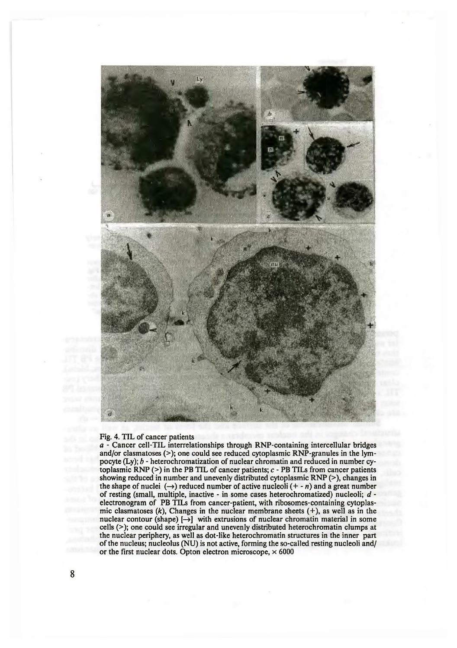

#### Fig. 4. TIL of cancer patients

*a* - Cancer cell-TIL interrelationships through RNP-containing intercellular bridges and/or clasmatoses (>); one could see reduced cytoplasmic RNP-granules in the lympocyte (Ly); *b -* heterochromatization of nuclear chromatin and reduced in number cytoplasmic RNP (>) in the PB TIL of cancer patients; *c* - PB TILs from cancer patients showing reduced in number and unevenly distributed cytoplasmic RNP (>), changes in the shape of nuclei  $(\rightarrow)$  reduced number of active nucleoli  $(+ n)$  and a great number of resting (small, multiple, inactive - in some cases heterochromatized) nucleoli; *d* electronogram of PB TILs from cancer-patient, with ribosomes-containing cytoplasmic clasmatoses (*k*), Changes in the nuclear membrane sheets (+), as well as in the nuclear contour (shape)  $[\rightarrow]$  with extrusions of nuclear chromatin material in some cells (>); one could see irregular and unevenly distributed heterochromatin clumps at the nuclear periphery, as well as dot-like heterochromatin structures in the inner part of the nucleus; nucleolus (NU) is not active, forming the so-called resting nucleoli and/ or the first nuclear dots. Opton electron microscope,  $\times$  6000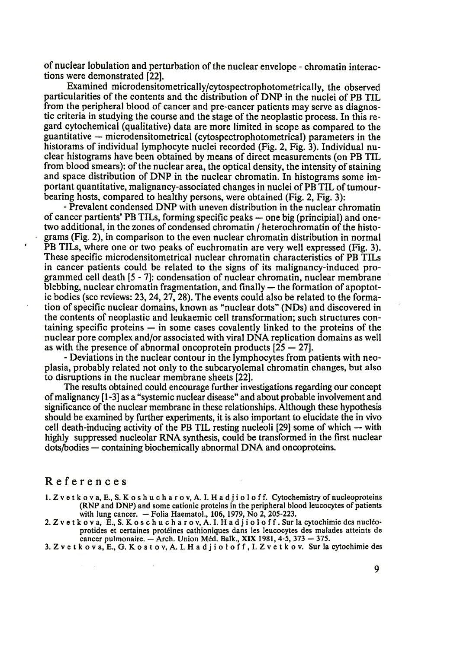of nuclear lobulation and perturbation of the nuclear envelope - chromatin interactions were demonstrated [22].

Examined microdensitometrically/cytospectrophotometrically, the observed particularities of the contents and the distribution of DNP in the nuclei of PB TIL from the peripheral blood of cancer and pre-cancer patients may serve as diagnostic criteria in studying the course and the stage of the neoplastic process. In this regard cytochemical (qualitative) data are more limited in scope as compared to the guantitative — microdensitometrical (cytospectrophotometrical) parameters in the historams of individual lymphocyte nuclei recorded (Fig. 2, Fig. 3). Individual nuclear histograms have been obtained by means of direct measurements (on PB TIL from blood smears): of the nuclear area, the optical density, the intensity of staining and space distribution of DNP in the nuclear chromatin. In histograms some important quantitative, malignancy-associated changes in nuclei of PB TIL of tumourbearing hosts, compared to healthy persons, were obtained (Fig. 2, Fig. 3):

- Prevalent condensed DNP with uneven distribution in the nuclear chromatin of cancer partients' PB TILs, forming specific peaks — one big (principial) and onetwo additional, in the zones of condensed chromatin / heterochromatin of the histograms (Fig. 2), in comparison to the even nuclear chromatin distribution in normal PB TILs, where one or two peaks of euchromatin are very well expressed (Fig. 3). These specific microdensitometrical nuclear chromatin characteristics of PB TILs in cancer patients could be related to the signs of its malignancy-induced programmed cell death [5 - 7]: condensation of nuclear chromatin, nuclear membrane blebbing, nuclear chromatin fragmentation, and finally — the formation of apoptotic bodies (see reviews: 23, 24, 27,28). The events could also be related to the formation of specific nuclear domains, known as "nuclear dots" (NDs) and discovered in the contents of neoplastic and leukaemic cell transformation; such structures containing specific proteins — in some cases covalently linked to the proteins of the nuclear pore complex and/or associated with viral DNA replication domains as well as with the presence of abnormal oncoprotein products  $[25 - 27]$ .

- Deviations in the nuclear contour in the lymphocytes from patients with neoplasia, probably related not only to the subcaryolemal chromatin changes, but also to disruptions in the nuclear membrane sheets [22].

The results obtained could encourage further investigations regarding our concept of malignancy [1-3] as a "systemic nuclear disease" and about probable involvement and significance of the nuclear membrane in these relationships. Although these hypothesis should be examined by further experiments, it is also important to elucidate the in vivo cell death-inducing activity of the PB TIL resting nucleoli [29] some of which — with highly suppressed nucleolar RNA synthesis, could be transformed in the first nuclear dots/bodies — containing biochemically abnormal DNA and oncoproteins.

#### References

 $\sim$ 

- 1. Z v e t k o v a, E., S. K o s h u c h a r o v, A. I. H a d j i o l o f f. Cytochemistry of nucleoproteins (RNP and DNP) and some cationic proteins in the peripheral blood leucocytes of patients with lung cancer. — Folia Haematol., 106, 1979, No 2, 205-223.
- 2. Z v e t k o v a , E., S. K o s c h u c h a r o v , A. I. H a d j i o l o f f . Sur la cytochimie des nucleoprotides et certaines proteines cathioniques dans les leucocytes des malades atteints de cancer pulmonaire. — Arch. Union Med. Balk., XIX 1981, 4-5, 373 — 375.
- 3. Z v e t k o v a , E., G. K o s t o v , A. I. H a d j i o l o f f , I. Z v e t k o v . Sur la cytochimie des

9